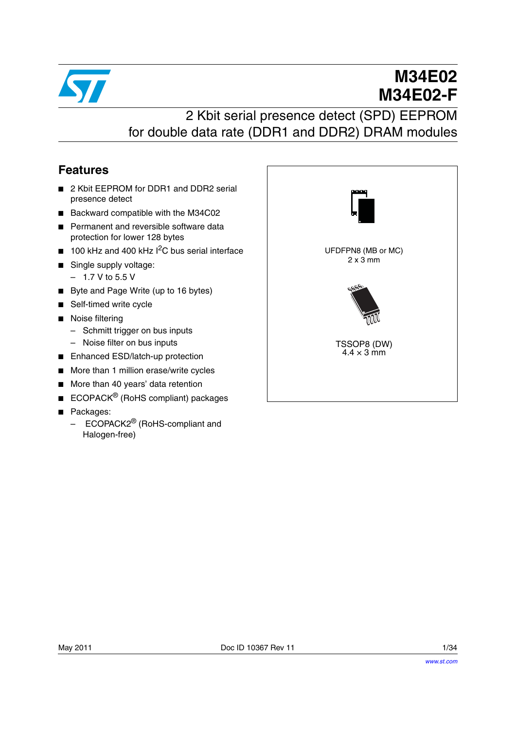

# **M34E02 M34E02-F**

# 2 Kbit serial presence detect (SPD) EEPROM for double data rate (DDR1 and DDR2) DRAM modules

### <span id="page-0-0"></span>**Features**

- 2 Kbit EEPROM for DDR1 and DDR2 serial presence detect
- Backward compatible with the M34C02
- Permanent and reversible software data protection for lower 128 bytes
- 100 kHz and 400 kHz <sup>2</sup>C bus serial interface
- Single supply voltage:
	- 1.7 V to 5.5 V
- Byte and Page Write (up to 16 bytes)
- Self-timed write cycle
- Noise filtering
	- Schmitt trigger on bus inputs
	- Noise filter on bus inputs
- Enhanced ESD/latch-up protection
- More than 1 million erase/write cycles
- More than 40 years' data retention
- **ECOPACK<sup>®</sup> (RoHS compliant) packages**
- Packages:
	- ECOPACK2<sup>®</sup> (RoHS-compliant and Halogen-free)

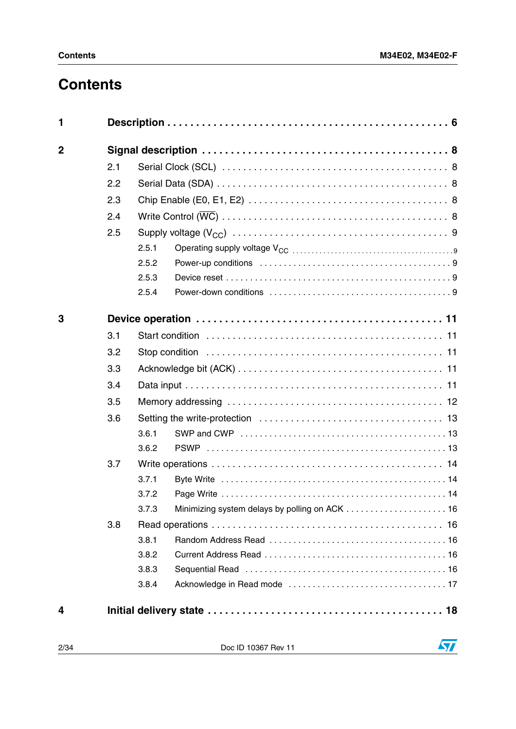# **Contents**

| 1              |     |       |  |
|----------------|-----|-------|--|
| $\overline{2}$ |     |       |  |
|                | 2.1 |       |  |
|                | 2.2 |       |  |
|                | 2.3 |       |  |
|                | 2.4 |       |  |
|                | 2.5 |       |  |
|                |     | 2.5.1 |  |
|                |     | 2.5.2 |  |
|                |     | 2.5.3 |  |
|                |     | 2.5.4 |  |
| 3              |     |       |  |
|                | 3.1 |       |  |
|                | 3.2 |       |  |
|                | 3.3 |       |  |
|                | 3.4 |       |  |
|                | 3.5 |       |  |
|                | 3.6 |       |  |
|                |     | 3.6.1 |  |
|                |     | 3.6.2 |  |
|                | 3.7 |       |  |
|                |     | 3.7.1 |  |
|                |     | 3.7.2 |  |
|                |     | 3.7.3 |  |
|                | 3.8 |       |  |
|                |     | 3.8.1 |  |
|                |     | 3.8.2 |  |
|                |     | 3.8.3 |  |
|                |     | 3.8.4 |  |
| 4              |     |       |  |

2/34 Doc ID 10367 Rev 11

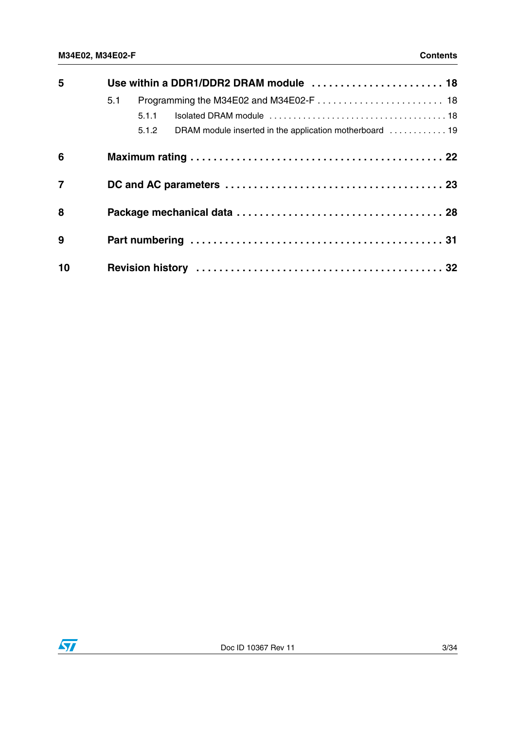| 5              | Use within a DDR1/DDR2 DRAM module  18                           |
|----------------|------------------------------------------------------------------|
|                | 5.1                                                              |
|                | 5.1.1                                                            |
|                | DRAM module inserted in the application motherboard  19<br>5.1.2 |
| 6              |                                                                  |
| $\overline{7}$ |                                                                  |
| 8              |                                                                  |
| 9              |                                                                  |
| 10             |                                                                  |

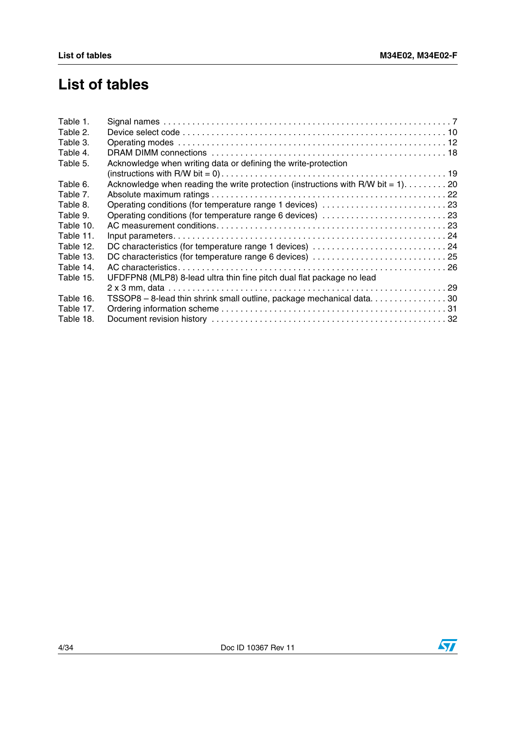# **List of tables**

| Table 1.  |                                                                                    |  |
|-----------|------------------------------------------------------------------------------------|--|
| Table 2.  |                                                                                    |  |
| Table 3.  |                                                                                    |  |
| Table 4.  |                                                                                    |  |
| Table 5.  | Acknowledge when writing data or defining the write-protection                     |  |
|           |                                                                                    |  |
| Table 6.  | Acknowledge when reading the write protection (instructions with R/W bit = $1$ )20 |  |
| Table 7.  |                                                                                    |  |
| Table 8.  |                                                                                    |  |
| Table 9.  | Operating conditions (for temperature range 6 devices) 23                          |  |
| Table 10. |                                                                                    |  |
| Table 11. |                                                                                    |  |
| Table 12. |                                                                                    |  |
| Table 13. |                                                                                    |  |
| Table 14. |                                                                                    |  |
| Table 15. | UFDFPN8 (MLP8) 8-lead ultra thin fine pitch dual flat package no lead              |  |
|           |                                                                                    |  |
| Table 16. | TSSOP8 - 8-lead thin shrink small outline, package mechanical data30               |  |
| Table 17. |                                                                                    |  |
| Table 18. |                                                                                    |  |
|           |                                                                                    |  |

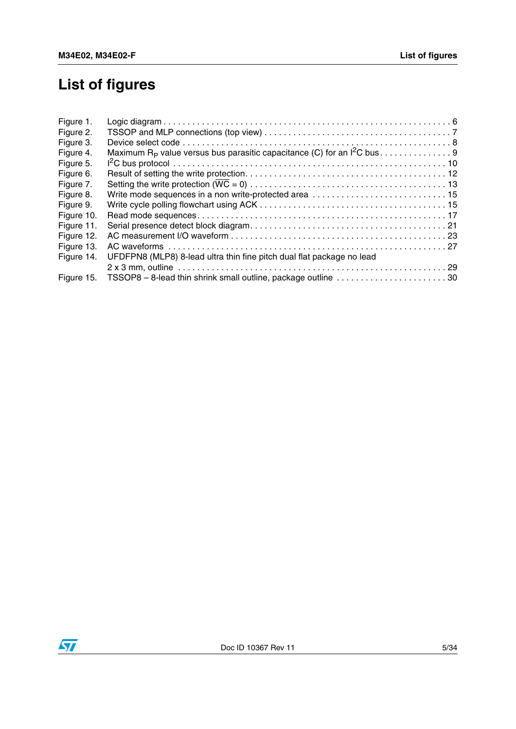# **List of figures**

| Figure 1.  |                                                                       |  |
|------------|-----------------------------------------------------------------------|--|
| Figure 2.  |                                                                       |  |
| Figure 3.  |                                                                       |  |
| Figure 4.  |                                                                       |  |
| Figure 5.  |                                                                       |  |
| Figure 6.  |                                                                       |  |
| Figure 7.  |                                                                       |  |
| Figure 8.  |                                                                       |  |
| Figure 9.  |                                                                       |  |
| Figure 10. |                                                                       |  |
| Figure 11. |                                                                       |  |
| Figure 12. |                                                                       |  |
| Figure 13. |                                                                       |  |
| Figure 14. | UFDFPN8 (MLP8) 8-lead ultra thin fine pitch dual flat package no lead |  |
|            |                                                                       |  |
| Figure 15. |                                                                       |  |
|            |                                                                       |  |

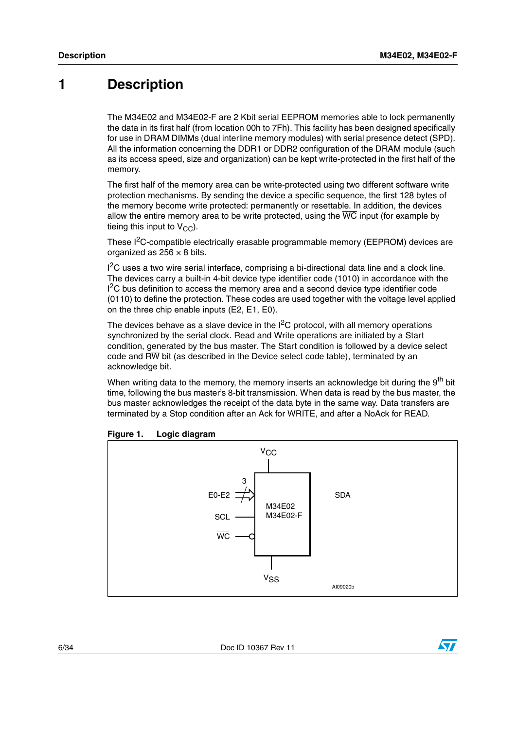### <span id="page-5-0"></span>**1 Description**

The M34E02 and M34E02-F are 2 Kbit serial EEPROM memories able to lock permanently the data in its first half (from location 00h to 7Fh). This facility has been designed specifically for use in DRAM DIMMs (dual interline memory modules) with serial presence detect (SPD). All the information concerning the DDR1 or DDR2 configuration of the DRAM module (such as its access speed, size and organization) can be kept write-protected in the first half of the memory.

The first half of the memory area can be write-protected using two different software write protection mechanisms. By sending the device a specific sequence, the first 128 bytes of the memory become write protected: permanently or resettable. In addition, the devices allow the entire memory area to be write protected, using the  $\overline{WC}$  input (for example by tieing this input to  $V_{CC}$ ).

These I<sup>2</sup>C-compatible electrically erasable programmable memory (EEPROM) devices are organized as  $256 \times 8$  bits.

<sup>2</sup>C uses a two wire serial interface, comprising a bi-directional data line and a clock line. The devices carry a built-in 4-bit device type identifier code (1010) in accordance with the  $1<sup>2</sup>C$  bus definition to access the memory area and a second device type identifier code (0110) to define the protection. These codes are used together with the voltage level applied on the three chip enable inputs (E2, E1, E0).

The devices behave as a slave device in the  $I^2C$  protocol, with all memory operations synchronized by the serial clock. Read and Write operations are initiated by a Start condition, generated by the bus master. The Start condition is followed by a device select code and RW bit (as described in the Device select code table), terminated by an acknowledge bit.

When writing data to the memory, the memory inserts an acknowledge bit during the 9<sup>th</sup> bit time, following the bus master's 8-bit transmission. When data is read by the bus master, the bus master acknowledges the receipt of the data byte in the same way. Data transfers are terminated by a Stop condition after an Ack for WRITE, and after a NoAck for READ.



<span id="page-5-1"></span>

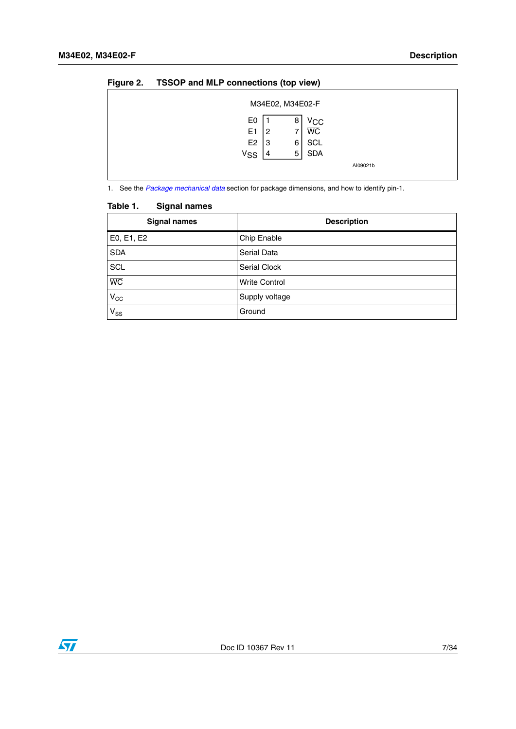| - |                                                                 |              | . .                                                         |          |  |
|---|-----------------------------------------------------------------|--------------|-------------------------------------------------------------|----------|--|
|   |                                                                 |              | M34E02, M34E02-F                                            |          |  |
|   | E0<br>E <sub>1</sub><br>E <sub>2</sub><br><b>V<sub>SS</sub></b> | 2<br>۱3<br>4 | Vcc<br>8<br><b>WC</b><br><b>SCL</b><br>6<br><b>SDA</b><br>5 |          |  |
|   |                                                                 |              |                                                             | AI09021b |  |

#### <span id="page-6-1"></span>**Figure 2. TSSOP and MLP connections (top view)**

1. See the *[Package mechanical data](#page-27-0)* section for package dimensions, and how to identify pin-1.

# <span id="page-6-0"></span>**Table 1. Signal names**

| <b>Signal names</b> | <b>Description</b>   |
|---------------------|----------------------|
| E0, E1, E2          | Chip Enable          |
| <b>SDA</b>          | Serial Data          |
| SCL                 | Serial Clock         |
| $\overline{WC}$     | <b>Write Control</b> |
| $V_{\rm CC}$        | Supply voltage       |
| $V_{SS}$            | Ground               |

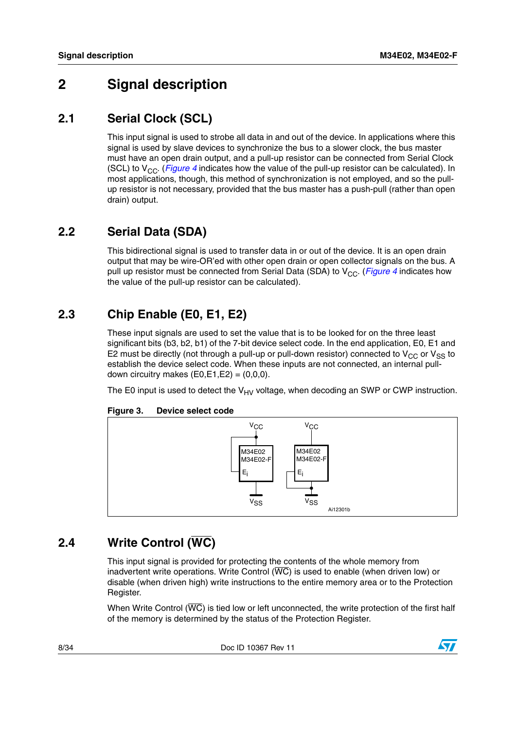## <span id="page-7-0"></span>**2 Signal description**

### <span id="page-7-1"></span>**2.1 Serial Clock (SCL)**

This input signal is used to strobe all data in and out of the device. In applications where this signal is used by slave devices to synchronize the bus to a slower clock, the bus master must have an open drain output, and a pull-up resistor can be connected from Serial Clock (SCL) to  $V_{CC}$ . (*[Figure 4](#page-8-5)* indicates how the value of the pull-up resistor can be calculated). In most applications, though, this method of synchronization is not employed, and so the pullup resistor is not necessary, provided that the bus master has a push-pull (rather than open drain) output.

### <span id="page-7-2"></span>**2.2 Serial Data (SDA)**

This bidirectional signal is used to transfer data in or out of the device. It is an open drain output that may be wire-OR'ed with other open drain or open collector signals on the bus. A pull up resistor must be connected from Serial Data (SDA) to V<sub>CC</sub>. (*[Figure 4](#page-8-5)* indicates how the value of the pull-up resistor can be calculated).

## <span id="page-7-3"></span>**2.3 Chip Enable (E0, E1, E2)**

These input signals are used to set the value that is to be looked for on the three least significant bits (b3, b2, b1) of the 7-bit device select code. In the end application, E0, E1 and E2 must be directly (not through a pull-up or pull-down resistor) connected to  $V_{CC}$  or  $V_{SS}$  to establish the device select code. When these inputs are not connected, an internal pulldown circuitry makes  $(E0,E1,E2) = (0,0,0)$ .

The E0 input is used to detect the  $V_{HV}$  voltage, when decoding an SWP or CWP instruction.



#### <span id="page-7-5"></span>**Figure 3. Device select code**

### <span id="page-7-4"></span>**2.4 Write Control (WC)**

This input signal is provided for protecting the contents of the whole memory from inadvertent write operations. Write Control  $(\overline{WC})$  is used to enable (when driven low) or disable (when driven high) write instructions to the entire memory area or to the Protection Register.

When Write Control (WC) is tied low or left unconnected, the write protection of the first half of the memory is determined by the status of the Protection Register.

8/34 Doc ID 10367 Rev 11

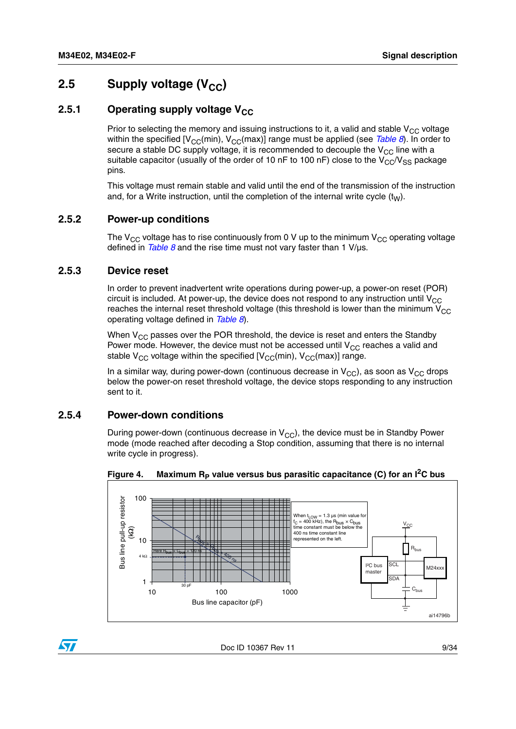### <span id="page-8-0"></span>**2.5** Supply voltage (V<sub>CC</sub>)

### <span id="page-8-1"></span>**2.5.1** Operating supply voltage V<sub>CC</sub>

Prior to selecting the memory and issuing instructions to it, a valid and stable  $V_{CC}$  voltage within the specified  $[V_{CC}(min), V_{CC}(max)]$  range must be applied (see *[Table 8](#page-22-1)*). In order to secure a stable DC supply voltage, it is recommended to decouple the  $V_{CC}$  line with a suitable capacitor (usually of the order of 10 nF to 100 nF) close to the  $V_{CC}/V_{SS}$  package pins.

This voltage must remain stable and valid until the end of the transmission of the instruction and, for a Write instruction, until the completion of the internal write cycle  $(t_{\text{M}})$ .

#### <span id="page-8-2"></span>**2.5.2 Power-up conditions**

The  $V_{CC}$  voltage has to rise continuously from 0 V up to the minimum  $V_{CC}$  operating voltage defined in *[Table 8](#page-22-1)* and the rise time must not vary faster than 1 V/µs.

#### <span id="page-8-3"></span>**2.5.3 Device reset**

In order to prevent inadvertent write operations during power-up, a power-on reset (POR) circuit is included. At power-up, the device does not respond to any instruction until  $V_{CC}$ reaches the internal reset threshold voltage (this threshold is lower than the minimum  $V_{CC}$ operating voltage defined in *[Table 8](#page-22-1)*).

When  $V_{CC}$  passes over the POR threshold, the device is reset and enters the Standby Power mode. However, the device must not be accessed until  $V_{CC}$  reaches a valid and stable  $V_{CC}$  voltage within the specified  $[V_{CC}(min), V_{CC}(max)]$  range.

In a similar way, during power-down (continuous decrease in  $V_{CC}$ ), as soon as  $V_{CC}$  drops below the power-on reset threshold voltage, the device stops responding to any instruction sent to it.

#### <span id="page-8-4"></span>**2.5.4 Power-down conditions**

During power-down (continuous decrease in  $V_{CC}$ ), the device must be in Standby Power mode (mode reached after decoding a Stop condition, assuming that there is no internal write cycle in progress).



<span id="page-8-5"></span>Figure 4. Maximum R<sub>P</sub> value versus bus parasitic capacitance (C) for an I<sup>2</sup>C bus

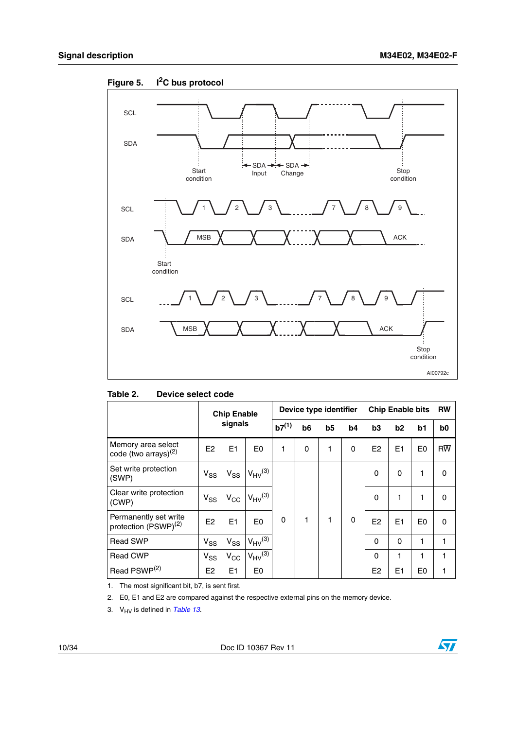

<span id="page-9-1"></span>**Figure 5. I2C bus protocol**

<span id="page-9-0"></span>

| Table 2. | Device select code |  |
|----------|--------------------|--|
|          |                    |  |

|                                                           | <b>Chip Enable</b><br>signals |              |                | Device type identifier |    |    |    | <b>Chip Enable bits</b> |                |                | <b>RW</b>       |
|-----------------------------------------------------------|-------------------------------|--------------|----------------|------------------------|----|----|----|-------------------------|----------------|----------------|-----------------|
|                                                           |                               |              |                | $b7^{(1)}$             | b6 | b5 | b4 | b <sub>3</sub>          | b <sub>2</sub> | b1             | b <sub>0</sub>  |
| Memory area select<br>code (two arrays) <sup>(2)</sup>    | E2                            | E1           | E <sub>0</sub> | 1                      | 0  | 1  | 0  | E <sub>2</sub>          | E1             | E <sub>0</sub> | $R\overline{W}$ |
| Set write protection<br>(SWP)                             | $V_{SS}$                      | $V_{SS}$     | $V_{HV}^{(3)}$ |                        |    |    |    | 0                       | 0              | 1              | 0               |
| Clear write protection<br>(CWP)                           | $V_{SS}$                      | $V_{CC}$     | $V_{HV}^{(3)}$ |                        |    |    |    | $\Omega$                | 1              | 1              | 0               |
| Permanently set write<br>protection (PSWP) <sup>(2)</sup> | E <sub>2</sub>                | E1           | E <sub>0</sub> | 0                      | 1  | 1  | 0  | E <sub>2</sub>          | E1             | E <sub>0</sub> | 0               |
| <b>Read SWP</b>                                           | $V_{SS}$                      | $V_{SS}$     | $V_{HV}^{(3)}$ |                        |    |    |    | 0                       | $\Omega$       | 1              | 1               |
| <b>Read CWP</b>                                           | $V_{SS}$                      | $V_{\rm CC}$ | $V_{HV}^{(3)}$ |                        |    |    |    | 0                       | 1              | 1              | 1               |
| Read PSWP <sup>(2)</sup>                                  | E <sub>2</sub>                | E1           | E0             |                        |    |    |    | E <sub>2</sub>          | E1             | E <sub>0</sub> | 1               |

J.

1. The most significant bit, b7, is sent first.

2. E0, E1 and E2 are compared against the respective external pins on the memory device.

3. V<sub>HV</sub> is defined in [Table 13](#page-24-0).

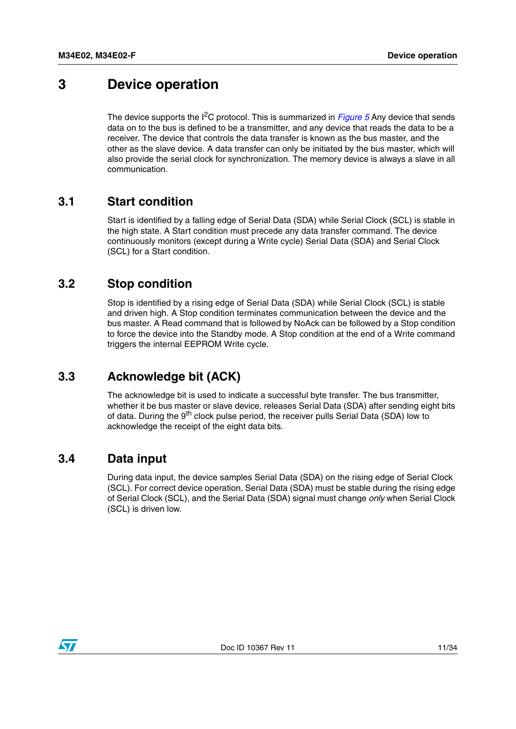## <span id="page-10-0"></span>**3 Device operation**

The device supports the <sup>2</sup>C protocol. This is summarized in *[Figure 5](#page-9-1)* Any device that sends data on to the bus is defined to be a transmitter, and any device that reads the data to be a receiver. The device that controls the data transfer is known as the bus master, and the other as the slave device. A data transfer can only be initiated by the bus master, which will also provide the serial clock for synchronization. The memory device is always a slave in all communication.

### <span id="page-10-1"></span>**3.1 Start condition**

Start is identified by a falling edge of Serial Data (SDA) while Serial Clock (SCL) is stable in the high state. A Start condition must precede any data transfer command. The device continuously monitors (except during a Write cycle) Serial Data (SDA) and Serial Clock (SCL) for a Start condition.

### <span id="page-10-2"></span>**3.2 Stop condition**

Stop is identified by a rising edge of Serial Data (SDA) while Serial Clock (SCL) is stable and driven high. A Stop condition terminates communication between the device and the bus master. A Read command that is followed by NoAck can be followed by a Stop condition to force the device into the Standby mode. A Stop condition at the end of a Write command triggers the internal EEPROM Write cycle.

### <span id="page-10-3"></span>**3.3 Acknowledge bit (ACK)**

The acknowledge bit is used to indicate a successful byte transfer. The bus transmitter, whether it be bus master or slave device, releases Serial Data (SDA) after sending eight bits of data. During the 9<sup>th</sup> clock pulse period, the receiver pulls Serial Data (SDA) low to acknowledge the receipt of the eight data bits.

### <span id="page-10-4"></span>**3.4 Data input**

During data input, the device samples Serial Data (SDA) on the rising edge of Serial Clock (SCL). For correct device operation, Serial Data (SDA) must be stable during the rising edge of Serial Clock (SCL), and the Serial Data (SDA) signal must change *only* when Serial Clock (SCL) is driven low.

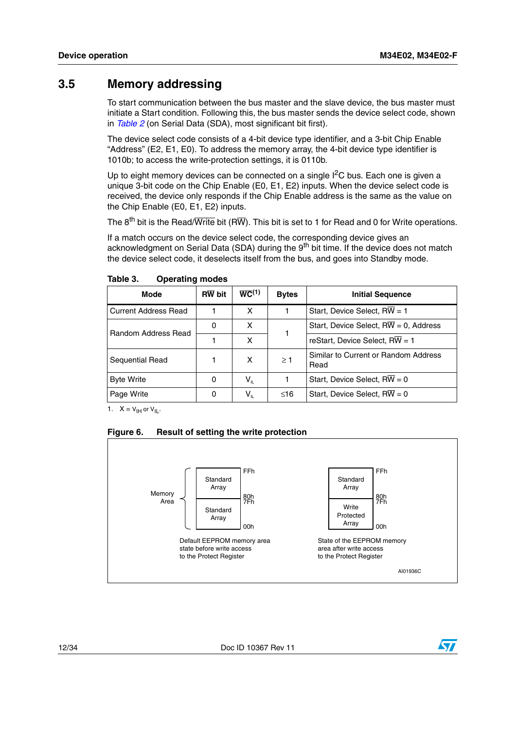### <span id="page-11-0"></span>**3.5 Memory addressing**

To start communication between the bus master and the slave device, the bus master must initiate a Start condition. Following this, the bus master sends the device select code, shown in *[Table 2](#page-9-0)* (on Serial Data (SDA), most significant bit first).

The device select code consists of a 4-bit device type identifier, and a 3-bit Chip Enable "Address" (E2, E1, E0). To address the memory array, the 4-bit device type identifier is 1010b; to access the write-protection settings, it is 0110b.

Up to eight memory devices can be connected on a single  $I^2C$  bus. Each one is given a unique 3-bit code on the Chip Enable (E0, E1, E2) inputs. When the device select code is received, the device only responds if the Chip Enable address is the same as the value on the Chip Enable (E0, E1, E2) inputs.

The  $8^{th}$  bit is the Read/Write bit (RW). This bit is set to 1 for Read and 0 for Write operations.

If a match occurs on the device select code, the corresponding device gives an acknowledgment on Serial Data (SDA) during the 9<sup>th</sup> bit time. If the device does not match the device select code, it deselects itself from the bus, and goes into Standby mode.

| <b>Mode</b>            | <b>RW</b> bit | $\overline{WC}^{(1)}$                          | <b>Bytes</b> | <b>Initial Sequence</b>                             |
|------------------------|---------------|------------------------------------------------|--------------|-----------------------------------------------------|
| l Current Address Read |               | х                                              |              | Start, Device Select, RW = 1                        |
| Random Address Read    | 0             | x                                              |              | Start, Device Select, $R\overline{W} = 0$ , Address |
|                        |               | x                                              |              | reStart, Device Select, $RW = 1$                    |
| <b>Sequential Read</b> |               | x                                              | $\geq$ 1     | Similar to Current or Random Address<br>Read        |
| <b>Byte Write</b>      | 0             | $\mathsf{V}_{\scriptscriptstyle{\mathsf{IL}}}$ |              | Start, Device Select, $RW = 0$                      |
| Page Write             | 0             | $\sf{V}_{\sf{IL}}$                             | ≤16          | Start, Device Select, $RW = 0$                      |

<span id="page-11-1"></span>Table 3. **Operating modes** 

1.  $X = V_{\text{IH}}$  or  $V_{\text{IL}}$ .

<span id="page-11-2"></span>



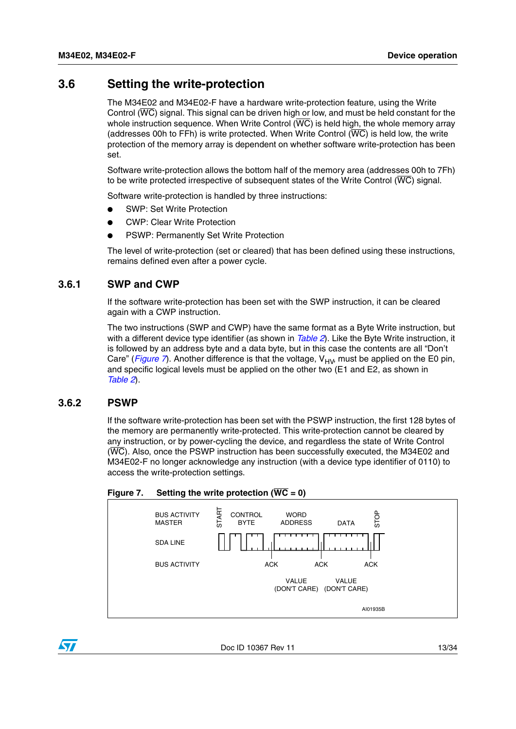### <span id="page-12-0"></span>**3.6 Setting the write-protection**

The M34E02 and M34E02-F have a hardware write-protection feature, using the Write Control (WC) signal. This signal can be driven high or low, and must be held constant for the whole instruction sequence. When Write Control  $(W\overline{C})$  is held high, the whole memory array (addresses 00h to FFh) is write protected. When Write Control  $(\overline{WC})$  is held low, the write protection of the memory array is dependent on whether software write-protection has been set.

Software write-protection allows the bottom half of the memory area (addresses 00h to 7Fh) to be write protected irrespective of subsequent states of the Write Control (WC) signal.

Software write-protection is handled by three instructions:

- SWP: Set Write Protection
- CWP: Clear Write Protection
- **PSWP: Permanently Set Write Protection**

The level of write-protection (set or cleared) that has been defined using these instructions, remains defined even after a power cycle.

#### <span id="page-12-1"></span>**3.6.1 SWP and CWP**

If the software write-protection has been set with the SWP instruction, it can be cleared again with a CWP instruction.

The two instructions (SWP and CWP) have the same format as a Byte Write instruction, but with a different device type identifier (as shown in *[Table 2](#page-9-0)*). Like the Byte Write instruction, it is followed by an address byte and a data byte, but in this case the contents are all "Don't Care" (*[Figure 7](#page-12-3)*). Another difference is that the voltage,  $V_{HV}$  must be applied on the E0 pin, and specific logical levels must be applied on the other two (E1 and E2, as shown in *[Table 2](#page-9-0)*).

#### <span id="page-12-2"></span>**3.6.2 PSWP**

S7

If the software write-protection has been set with the PSWP instruction, the first 128 bytes of the memory are permanently write-protected. This write-protection cannot be cleared by any instruction, or by power-cycling the device, and regardless the state of Write Control (WC). Also, once the PSWP instruction has been successfully executed, the M34E02 and M34E02-F no longer acknowledge any instruction (with a device type identifier of 0110) to access the write-protection settings.

#### <span id="page-12-3"></span>**Figure 7.** Setting the write protection  $(\overline{WC} = 0)$



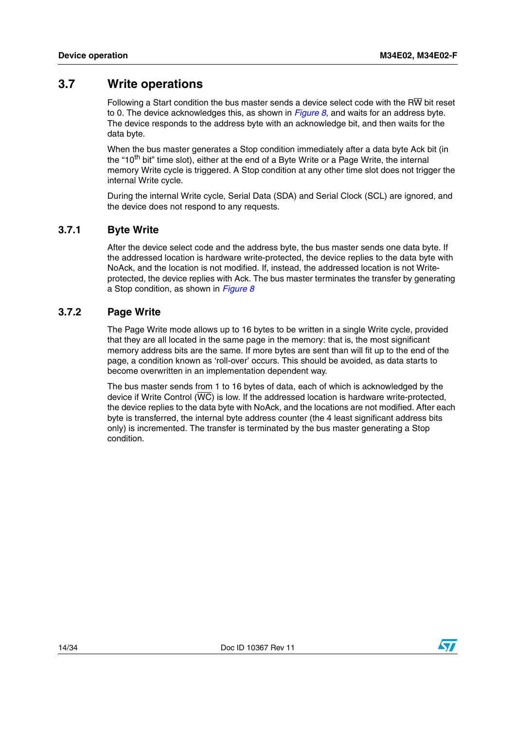### <span id="page-13-0"></span>**3.7 Write operations**

Following a Start condition the bus master sends a device select code with the R $\overline{W}$  bit reset to 0. The device acknowledges this, as shown in *[Figure 8](#page-14-0)*, and waits for an address byte. The device responds to the address byte with an acknowledge bit, and then waits for the data byte.

When the bus master generates a Stop condition immediately after a data byte Ack bit (in the "10<sup>th</sup> bit" time slot), either at the end of a Byte Write or a Page Write, the internal memory Write cycle is triggered. A Stop condition at any other time slot does not trigger the internal Write cycle.

During the internal Write cycle, Serial Data (SDA) and Serial Clock (SCL) are ignored, and the device does not respond to any requests.

#### <span id="page-13-1"></span>**3.7.1 Byte Write**

After the device select code and the address byte, the bus master sends one data byte. If the addressed location is hardware write-protected, the device replies to the data byte with NoAck, and the location is not modified. If, instead, the addressed location is not Writeprotected, the device replies with Ack. The bus master terminates the transfer by generating a Stop condition, as shown in *[Figure 8](#page-14-0)*

#### <span id="page-13-2"></span>**3.7.2 Page Write**

The Page Write mode allows up to 16 bytes to be written in a single Write cycle, provided that they are all located in the same page in the memory: that is, the most significant memory address bits are the same. If more bytes are sent than will fit up to the end of the page, a condition known as 'roll-over' occurs. This should be avoided, as data starts to become overwritten in an implementation dependent way.

The bus master sends from 1 to 16 bytes of data, each of which is acknowledged by the device if Write Control  $(\overline{WC})$  is low. If the addressed location is hardware write-protected, the device replies to the data byte with NoAck, and the locations are not modified. After each byte is transferred, the internal byte address counter (the 4 least significant address bits only) is incremented. The transfer is terminated by the bus master generating a Stop condition.

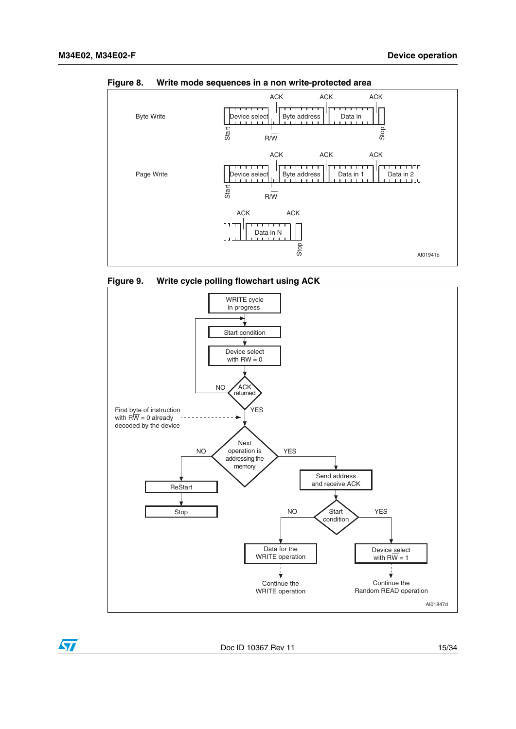

<span id="page-14-0"></span>**Figure 8. Write mode sequences in a non write-protected area**

<span id="page-14-1"></span>



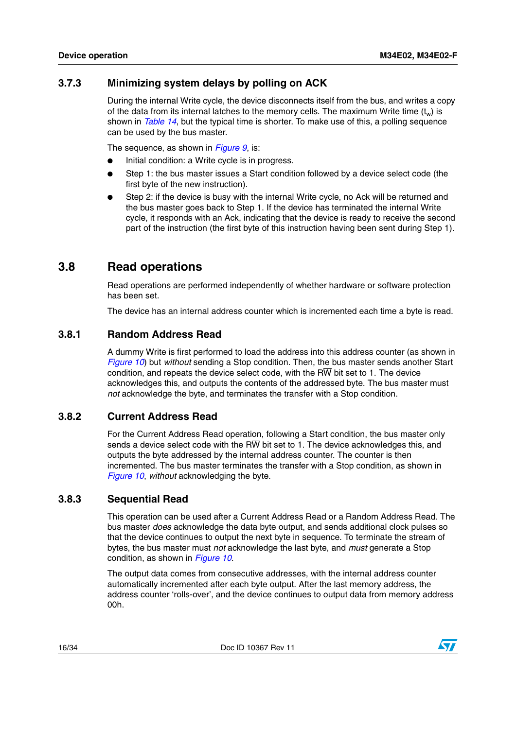### <span id="page-15-0"></span>**3.7.3 Minimizing system delays by polling on ACK**

During the internal Write cycle, the device disconnects itself from the bus, and writes a copy of the data from its internal latches to the memory cells. The maximum Write time  $(t_w)$  is shown in *[Table 14](#page-25-0)*, but the typical time is shorter. To make use of this, a polling sequence can be used by the bus master.

The sequence, as shown in *[Figure 9](#page-14-1)*, is:

- Initial condition: a Write cycle is in progress.
- Step 1: the bus master issues a Start condition followed by a device select code (the first byte of the new instruction).
- Step 2: if the device is busy with the internal Write cycle, no Ack will be returned and the bus master goes back to Step 1. If the device has terminated the internal Write cycle, it responds with an Ack, indicating that the device is ready to receive the second part of the instruction (the first byte of this instruction having been sent during Step 1).

### <span id="page-15-1"></span>**3.8 Read operations**

Read operations are performed independently of whether hardware or software protection has been set.

The device has an internal address counter which is incremented each time a byte is read.

### <span id="page-15-2"></span>**3.8.1 Random Address Read**

A dummy Write is first performed to load the address into this address counter (as shown in *[Figure 10](#page-16-1)*) but *without* sending a Stop condition. Then, the bus master sends another Start condition, and repeats the device select code, with the  $R\overline{W}$  bit set to 1. The device acknowledges this, and outputs the contents of the addressed byte. The bus master must *not* acknowledge the byte, and terminates the transfer with a Stop condition.

### <span id="page-15-3"></span>**3.8.2 Current Address Read**

For the Current Address Read operation, following a Start condition, the bus master only sends a device select code with the  $R\overline{W}$  bit set to 1. The device acknowledges this, and outputs the byte addressed by the internal address counter. The counter is then incremented. The bus master terminates the transfer with a Stop condition, as shown in *[Figure 10](#page-16-1)*, *without* acknowledging the byte.

#### <span id="page-15-4"></span>**3.8.3 Sequential Read**

This operation can be used after a Current Address Read or a Random Address Read. The bus master *does* acknowledge the data byte output, and sends additional clock pulses so that the device continues to output the next byte in sequence. To terminate the stream of bytes, the bus master must *not* acknowledge the last byte, and *must* generate a Stop condition, as shown in *[Figure 10](#page-16-1)*.

The output data comes from consecutive addresses, with the internal address counter automatically incremented after each byte output. After the last memory address, the address counter 'rolls-over', and the device continues to output data from memory address 00h.

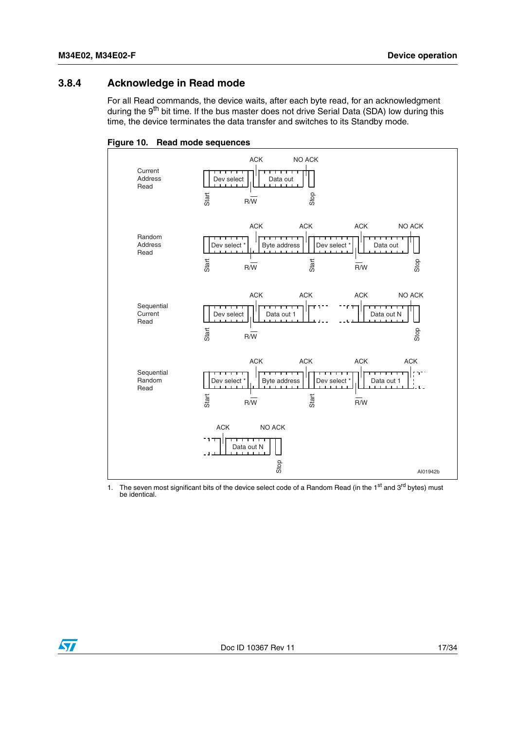#### <span id="page-16-0"></span>**3.8.4 Acknowledge in Read mode**

For all Read commands, the device waits, after each byte read, for an acknowledgment during the 9<sup>th</sup> bit time. If the bus master does not drive Serial Data (SDA) low during this time, the device terminates the data transfer and switches to its Standby mode.

<span id="page-16-1"></span>

1. The seven most significant bits of the device select code of a Random Read (in the 1<sup>st</sup> and 3<sup>rd</sup> bytes) must be identical.

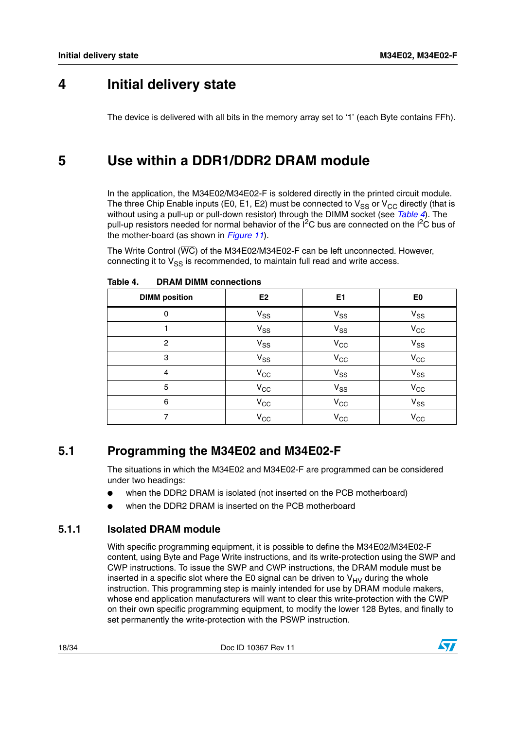## <span id="page-17-0"></span>**4 Initial delivery state**

The device is delivered with all bits in the memory array set to '1' (each Byte contains FFh).

## <span id="page-17-1"></span>**5 Use within a DDR1/DDR2 DRAM module**

In the application, the M34E02/M34E02-F is soldered directly in the printed circuit module. The three Chip Enable inputs (E0, E1, E2) must be connected to  $V_{SS}$  or  $V_{CC}$  directly (that is without using a pull-up or pull-down resistor) through the DIMM socket (see *[Table 4](#page-17-4)*). The pull-up resistors needed for normal behavior of the  $I^2C$  bus are connected on the  $I^2C$  bus of the mother-board (as shown in *[Figure 11](#page-20-0)*).

The Write Control (WC) of the M34E02/M34E02-F can be left unconnected. However, connecting it to  $V_{SS}$  is recommended, to maintain full read and write access.

| <b>DIMM</b> position | E <sub>2</sub>             | E <sub>1</sub>             | E <sub>0</sub> |
|----------------------|----------------------------|----------------------------|----------------|
| 0                    | $V_{SS}$                   | $V_{SS}$                   | $V_{SS}$       |
|                      | $\mathsf{V}_{\mathsf{SS}}$ | $V_{SS}$                   | $V_{CC}$       |
| $\overline{2}$       | $V_{SS}$                   | $V_{CC}$                   | $V_{SS}$       |
| 3                    | $V_{SS}$                   | $V_{\rm CC}$               | $V_{\rm CC}$   |
| 4                    | $V_{CC}$                   | $V_{SS}$                   | $V_{SS}$       |
| 5                    | $V_{CC}$                   | $V_{SS}$                   | $V_{\rm CC}$   |
| 6                    | $V_{CC}$                   | $V_{\rm CC}$               | $V_{SS}$       |
| ⇁                    | $V_{CC}$                   | $\mathsf{V}_{\mathsf{CC}}$ | $V_{CC}$       |

<span id="page-17-4"></span>Table 4. **DRAM DIMM connections** 

### <span id="page-17-2"></span>**5.1 Programming the M34E02 and M34E02-F**

The situations in which the M34E02 and M34E02-F are programmed can be considered under two headings:

- when the DDR2 DRAM is isolated (not inserted on the PCB motherboard)
- when the DDR2 DRAM is inserted on the PCB motherboard

### <span id="page-17-3"></span>**5.1.1 Isolated DRAM module**

With specific programming equipment, it is possible to define the M34E02/M34E02-F content, using Byte and Page Write instructions, and its write-protection using the SWP and CWP instructions. To issue the SWP and CWP instructions, the DRAM module must be inserted in a specific slot where the E0 signal can be driven to  $V_{HV}$  during the whole instruction. This programming step is mainly intended for use by DRAM module makers, whose end application manufacturers will want to clear this write-protection with the CWP on their own specific programming equipment, to modify the lower 128 Bytes, and finally to set permanently the write-protection with the PSWP instruction.

18/34 Doc ID 10367 Rev 11

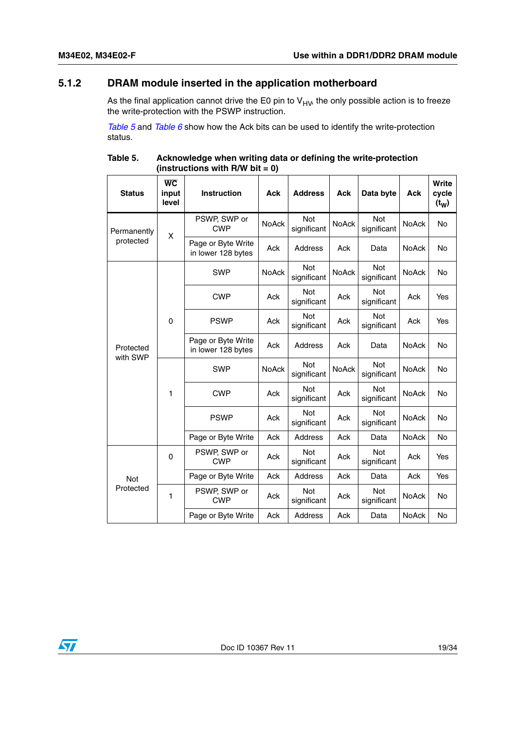### <span id="page-18-0"></span>**5.1.2 DRAM module inserted in the application motherboard**

As the final application cannot drive the E0 pin to  $V_{HV}$ , the only possible action is to freeze the write-protection with the PSWP instruction.

*[Table 5](#page-18-1)* and *[Table 6](#page-19-0)* show how the Ack bits can be used to identify the write-protection status.

| <b>Status</b>         | $\overline{wc}$<br>input<br>level | Instruction                              | <b>Ack</b>   | <b>Address</b>            | <b>Ack</b>                | Data byte                 | Ack                       | Write<br>cycle<br>$(t_W)$ |
|-----------------------|-----------------------------------|------------------------------------------|--------------|---------------------------|---------------------------|---------------------------|---------------------------|---------------------------|
| Permanently           | X                                 | PSWP, SWP or<br><b>CWP</b>               | <b>NoAck</b> | Not<br>significant        | <b>NoAck</b>              | Not<br>significant        | <b>NoAck</b>              | <b>No</b>                 |
| protected             |                                   | Page or Byte Write<br>in lower 128 bytes | Ack          | Address                   | Ack                       | Data                      | NoAck                     | No                        |
|                       |                                   | <b>SWP</b>                               | <b>NoAck</b> | Not<br>significant        | NoAck                     | Not<br>significant        | <b>NoAck</b>              | <b>No</b>                 |
|                       |                                   | <b>CWP</b>                               | <b>Ack</b>   | <b>Not</b><br>significant | Ack                       | <b>Not</b><br>significant | Ack                       | Yes                       |
|                       | 0                                 | <b>PSWP</b>                              | Ack          | <b>Not</b><br>significant | Ack                       | <b>Not</b><br>significant | Ack                       | Yes                       |
| Protected<br>with SWP |                                   | Page or Byte Write<br>in lower 128 bytes | Ack          | Address                   | Ack                       | Data                      | NoAck                     | No                        |
|                       | $\mathbf{1}$                      | <b>SWP</b>                               | <b>NoAck</b> | Not<br>significant        | <b>NoAck</b>              | Not<br>significant        | <b>NoAck</b>              | <b>No</b>                 |
|                       |                                   | <b>CWP</b>                               | Ack          | <b>Not</b><br>significant | Ack                       | <b>Not</b><br>significant | NoAck                     | No                        |
|                       |                                   |                                          | <b>PSWP</b>  | Ack                       | <b>Not</b><br>significant | Ack                       | <b>Not</b><br>significant | NoAck                     |
|                       |                                   | Page or Byte Write                       | Ack          | Address                   | Ack                       | Data                      | NoAck                     | No                        |
|                       | 0                                 | PSWP, SWP or<br><b>CWP</b>               | Ack          | <b>Not</b><br>significant | Ack                       | Not<br>significant        | Ack                       | Yes                       |
| <b>Not</b>            |                                   | Page or Byte Write                       | Ack          | Address                   | Ack                       | Data                      | Ack                       | Yes                       |
| Protected             | $\mathbf{1}$                      | PSWP, SWP or<br><b>CWP</b>               | Ack          | Not<br>significant        | Ack                       | Not<br>significant        | NoAck                     | <b>No</b>                 |
|                       |                                   | Page or Byte Write                       | Ack          | Address                   | Ack                       | Data                      | NoAck                     | No                        |

<span id="page-18-1"></span>Table 5. **Table 5. Acknowledge when writing data or defining the write-protection (instructions with R/W bit = 0)** 

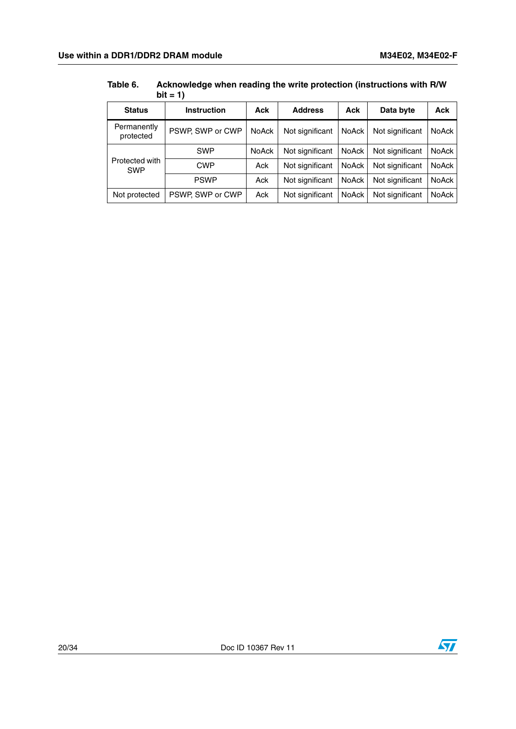|                              | $DII = I$          |              |                 |              |                 |              |
|------------------------------|--------------------|--------------|-----------------|--------------|-----------------|--------------|
| <b>Status</b>                | <b>Instruction</b> | Ack          | <b>Address</b>  | Ack          | Data byte       | <b>Ack</b>   |
| Permanently<br>protected     | PSWP, SWP or CWP   | <b>NoAck</b> | Not significant | <b>NoAck</b> | Not significant | <b>NoAck</b> |
|                              | <b>SWP</b>         | NoAck        | Not significant | <b>NoAck</b> | Not significant | <b>NoAck</b> |
| Protected with<br><b>SWP</b> | <b>CWP</b>         | Ack          | Not significant | <b>NoAck</b> | Not significant | NoAck        |
|                              | <b>PSWP</b>        | Ack          | Not significant | <b>NoAck</b> | Not significant | <b>NoAck</b> |
| Not protected                | PSWP, SWP or CWP   | Ack          | Not significant | <b>NoAck</b> | Not significant | NoAck        |

#### <span id="page-19-0"></span> **Table 6. Acknowledge when reading the write protection (instructions with R/W bit = 1)**

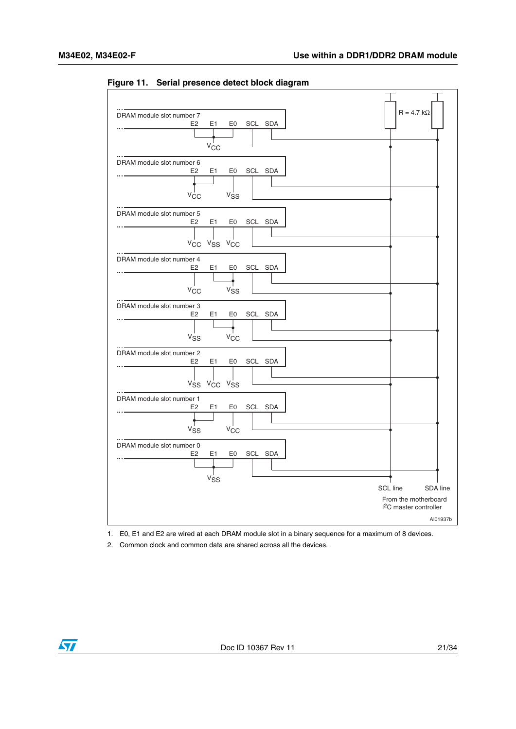| DRAM module slot number 7<br>E <sub>2</sub>                          | E1<br>E0<br>$V_{\rm CC}$                                                | SCL SDA    |  |          | $R = 4.7 k\Omega$                |          |
|----------------------------------------------------------------------|-------------------------------------------------------------------------|------------|--|----------|----------------------------------|----------|
| DRAM module slot number 6<br>E <sub>2</sub><br>V <sub>CC</sub>       | E1<br>E <sub>0</sub><br>V <sub>SS</sub>                                 | SCL SDA    |  |          |                                  |          |
| DRAM module slot number 5<br>E <sub>2</sub><br>$V_{\rm CC}$          | E1<br>E <sub>0</sub><br>V <sub>SS</sub> V <sub>CC</sub>                 | SCL SDA    |  |          |                                  |          |
| DRAM module slot number 4<br>E2<br>V <sub>CC</sub>                   | E1<br>E0<br><b>V<sub>SS</sub></b>                                       | SCL SDA    |  |          |                                  |          |
| DRAM module slot number 3<br>E2<br><b>V<sub>SS</sub></b>             | E1<br>V <sub>CC</sub>                                                   | E0 SCL SDA |  |          |                                  |          |
| DRAM module slot number 2<br>E <sub>2</sub>                          | E1<br>E <sub>0</sub><br>V <sub>SS</sub> V <sub>CC</sub> V <sub>SS</sub> | SCL SDA    |  |          |                                  |          |
| DRAM module slot number 1<br>E <sub>2</sub><br><b>V<sub>SS</sub></b> | E <sub>1</sub><br>E0<br>$V_{CC}$                                        | SCL SDA    |  |          |                                  |          |
| DRAM module slot number 0<br>E <sub>2</sub>                          | E1<br>E0<br>$V_{SS}$                                                    | SCL SDA    |  | SCL line | From the motherboard             | SDA line |
|                                                                      |                                                                         |            |  |          | <sup>2</sup> C master controller | AI01937b |

<span id="page-20-0"></span>**Figure 11. Serial presence detect block diagram**

1. E0, E1 and E2 are wired at each DRAM module slot in a binary sequence for a maximum of 8 devices.

2. Common clock and common data are shared across all the devices.

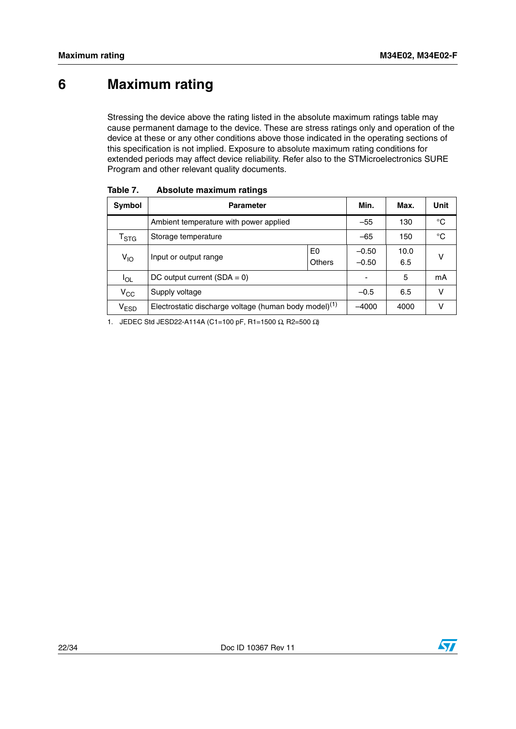# <span id="page-21-0"></span>**6 Maximum rating**

Stressing the device above the rating listed in the absolute maximum ratings table may cause permanent damage to the device. These are stress ratings only and operation of the device at these or any other conditions above those indicated in the operating sections of this specification is not implied. Exposure to absolute maximum rating conditions for extended periods may affect device reliability. Refer also to the STMicroelectronics SURE Program and other relevant quality documents.

| Symbol           | <b>Parameter</b>                                                  |  | Min.               | Max.        | Unit |
|------------------|-------------------------------------------------------------------|--|--------------------|-------------|------|
|                  | Ambient temperature with power applied                            |  | $-55$              | 130         | °C   |
| $I_{\text{STG}}$ | Storage temperature                                               |  | $-65$              | 150         | °C   |
| $V_{1O}$         | E0<br>Input or output range<br>Others                             |  | $-0.50$<br>$-0.50$ | 10.0<br>6.5 | ν    |
| <b>IOL</b>       | DC output current $(SDA = 0)$                                     |  | -                  | 5           | mA   |
| $\rm v_{\rm cc}$ | Supply voltage                                                    |  | $-0.5$             | 6.5         | v    |
| V <sub>ESD</sub> | Electrostatic discharge voltage (human body model) <sup>(1)</sup> |  | $-4000$            | 4000        | ν    |

<span id="page-21-1"></span>Table 7. **Absolute maximum ratings** 

1. JEDEC Std JESD22-A114A (C1=100 pF, R1=1500 Ω, R2=500 Ω)

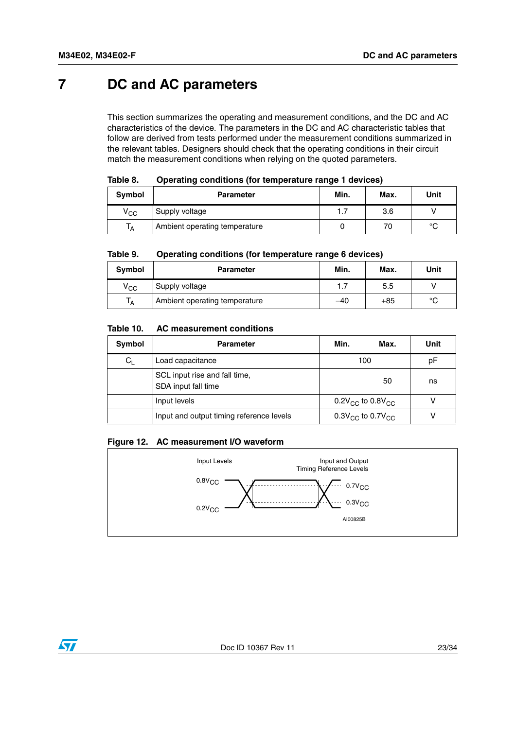# <span id="page-22-0"></span>**7 DC and AC parameters**

This section summarizes the operating and measurement conditions, and the DC and AC characteristics of the device. The parameters in the DC and AC characteristic tables that follow are derived from tests performed under the measurement conditions summarized in the relevant tables. Designers should check that the operating conditions in their circuit match the measurement conditions when relying on the quoted parameters.

<span id="page-22-1"></span>

| Table 8. | Operating conditions (for temperature range 1 devices) |
|----------|--------------------------------------------------------|
|          |                                                        |

| Symbol           | <b>Parameter</b>              | Min. | Max. | Unit   |
|------------------|-------------------------------|------|------|--------|
| $\rm v_{\rm cc}$ | Supply voltage                | 1.7  | 3.6  |        |
| ١A               | Ambient operating temperature |      | 70   | $\sim$ |

<span id="page-22-2"></span>

| Table 9. | Operating conditions (for temperature range 6 devices) |  |
|----------|--------------------------------------------------------|--|
|          |                                                        |  |

| Symbol       | <b>Parameter</b>              | Min.  | Max.  | Unit |
|--------------|-------------------------------|-------|-------|------|
| $V_{\rm CC}$ | Supply voltage                | 1.7   | 5.5   |      |
| ١A           | Ambient operating temperature | $-40$ | $+85$ | °C   |

#### <span id="page-22-3"></span>Table 10. **Table 10. AC measurement conditions**

| Symbol  | <b>Parameter</b>                                                               | Min.<br>Max.                       |    | Unit |
|---------|--------------------------------------------------------------------------------|------------------------------------|----|------|
| $C_{L}$ | Load capacitance<br>100                                                        |                                    | рF |      |
|         | SCL input rise and fall time,<br>SDA input fall time                           |                                    | 50 | ns   |
|         | Input levels                                                                   | $0.2V_{\rm CC}$ to $0.8V_{\rm CC}$ |    |      |
|         | Input and output timing reference levels<br>$0.3V_{\rm CC}$ to $0.7V_{\rm CC}$ |                                    |    |      |

#### <span id="page-22-4"></span>**Figure 12. AC measurement I/O waveform**



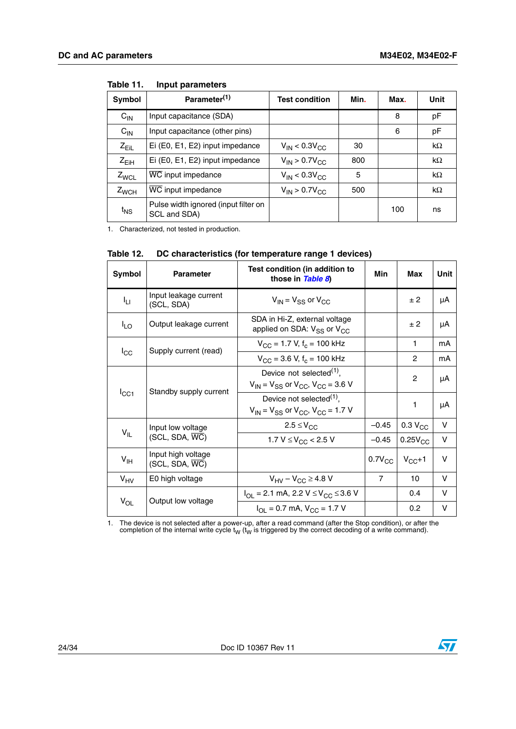| Symbol          | Parameter <sup>(1)</sup>                             | <b>Test condition</b>   | Min. | Max. | Unit      |
|-----------------|------------------------------------------------------|-------------------------|------|------|-----------|
| $C_{IN}$        | Input capacitance (SDA)                              |                         |      | 8    | pF        |
| $C_{\text{IN}}$ | Input capacitance (other pins)                       |                         |      | 6    | pF        |
| $Z_{EiL}$       | Ei (E0, E1, E2) input impedance                      | $V_{IN}$ < 0.3 $V_{CC}$ | 30   |      | $k\Omega$ |
| $Z_{EiH}$       | Ei (E0, E1, E2) input impedance                      | $V_{IN}$ > 0.7 $V_{CC}$ | 800  |      | $k\Omega$ |
| $Z_{WCL}$       | WC input impedance                                   | $V_{IN}$ < 0.3 $V_{CC}$ | 5    |      | $k\Omega$ |
| $Z_{WCH}$       | WC input impedance                                   | $V_{IN}$ > 0.7 $V_{CC}$ | 500  |      | $k\Omega$ |
| $t_{NS}$        | Pulse width ignored (input filter on<br>SCL and SDA) |                         |      | 100  | ns        |

<span id="page-23-0"></span>Table 11. **Input parameters** 

1. Characterized, not tested in production.

| Symbol          | <b>Parameter</b>                                  | Test condition (in addition to<br>those in Table 8)                                        | Min            | Max                 | Unit   |
|-----------------|---------------------------------------------------|--------------------------------------------------------------------------------------------|----------------|---------------------|--------|
| ŀц              | Input leakage current<br>(SCL, SDA)               | $V_{IN} = V_{SS}$ or $V_{CC}$                                                              |                | ± 2                 | μA     |
| $I_{LO}$        | Output leakage current                            | SDA in Hi-Z, external voltage<br>applied on SDA: $V_{SS}$ or $V_{CC}$                      |                | ± 2                 | μA     |
|                 | Supply current (read)                             | $V_{\rm CC}$ = 1.7 V, f <sub>c</sub> = 100 kHz                                             |                | 1                   | mA     |
| $I_{\rm CC}$    |                                                   | $V_{\rm CC}$ = 3.6 V, f <sub>c</sub> = 100 kHz                                             |                | 2                   | mA     |
|                 |                                                   | Device not selected $(1)$ ,<br>$V_{IN}$ = $V_{SS}$ or $V_{CC}$ , $V_{CC}$ = 3.6 V          |                | $\overline{2}$      | μA     |
| $I_{\rm CC1}$   | Standby supply current                            | Device not selected <sup>(1)</sup> ,<br>$V_{IN}$ = $V_{SS}$ or $V_{CC}$ , $V_{CC}$ = 1.7 V |                | 1                   | μA     |
|                 | Input low voltage                                 | $2.5 \leq V_{CC}$                                                                          | $-0.45$        | 0.3 V <sub>CC</sub> | $\vee$ |
| $V_{IL}$        | $(SCL, SDA, \overline{WC})$                       | 1.7 $V \leq V_{CC}$ < 2.5 V                                                                | $-0.45$        | $0.25V_{CC}$        | $\vee$ |
| $V_{\text{IH}}$ | Input high voltage<br>$(SCL, SDA, \overline{WC})$ |                                                                                            | $0.7V_{CC}$    | $V_{CC}+1$          | $\vee$ |
| $V_{HV}$        | E0 high voltage                                   | $V_{\text{HV}} - V_{\text{CC}} \geq 4.8$ V                                                 | $\overline{7}$ | 10                  | v      |
|                 | Output low voltage                                | $I_{\text{OI}}$ = 2.1 mA, 2.2 V $\leq$ V <sub>CC</sub> $\leq$ 3.6 V                        |                | 0.4                 | V      |
| $V_{OL}$        |                                                   | $I_{\text{OI}} = 0.7 \text{ mA}, V_{\text{CC}} = 1.7 \text{ V}$                            |                | 0.2                 | v      |

<span id="page-23-1"></span>

| DC characteristics (for temperature range 1 devices) | Table 12. |  |  |  |
|------------------------------------------------------|-----------|--|--|--|
|------------------------------------------------------|-----------|--|--|--|

<span id="page-23-2"></span>1. The device is not selected after a power-up, after a read command (after the Stop condition), or after the completion of the internal write cycle  $t_W$  ( $t_W$  is triggered by the correct decoding of a write command).

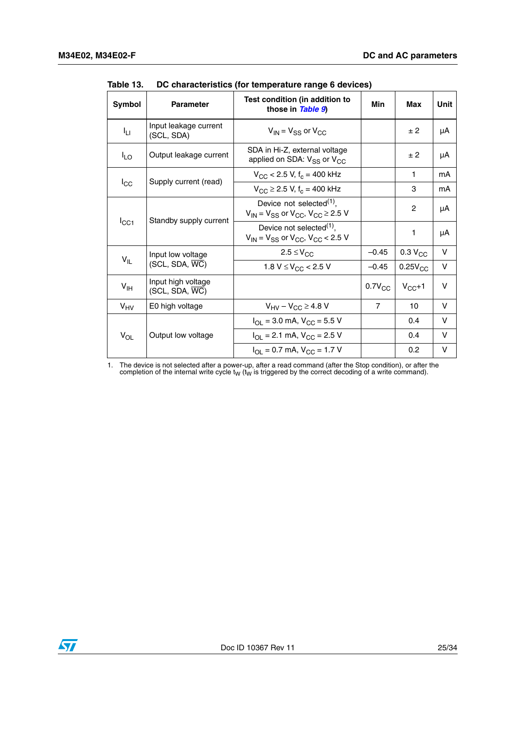| <b>Symbol</b>   | <b>Parameter</b>                                  | Test condition (in addition to<br>those in Table 9)                                        | Min            | Max                 | Unit   |
|-----------------|---------------------------------------------------|--------------------------------------------------------------------------------------------|----------------|---------------------|--------|
| ŀц              | Input leakage current<br>(SCL, SDA)               | $V_{IN}$ = $V_{SS}$ or $V_{CC}$                                                            |                | ± 2                 | μA     |
| $I_{LO}$        | Output leakage current                            | SDA in Hi-Z, external voltage<br>applied on SDA: V <sub>SS</sub> or V <sub>CC</sub>        |                | ± 2                 | μA     |
|                 | Supply current (read)                             | $V_{\rm CC}$ < 2.5 V, f <sub>c</sub> = 400 kHz                                             |                | 1                   | mA     |
| $I_{\rm CC}$    |                                                   | $V_{\text{CC}}$ $\geq$ 2.5 V, f <sub>c</sub> = 400 kHz                                     |                | 3                   | mA     |
|                 |                                                   | Device not selected $(1)$ ,<br>$V_{IN}$ = $V_{SS}$ or $V_{CC}$ , $V_{CC}$ $\geq$ 2.5 V     |                | 2                   | μA     |
| $I_{\rm CC1}$   | Standby supply current                            | Device not selected <sup>(1)</sup> ,<br>$V_{IN}$ = $V_{SS}$ or $V_{CC}$ , $V_{CC}$ < 2.5 V |                | 1                   | μA     |
|                 | Input low voltage                                 | $2.5 \leq V_{CC}$                                                                          | $-0.45$        | 0.3 V <sub>CC</sub> | V      |
| $V_{IL}$        | $(SCL, SDA, \overline{WC})$                       | 1.8 V $\leq$ V <sub>CC</sub> < 2.5 V                                                       | $-0.45$        | $0.25V_{CC}$        | $\vee$ |
| V <sub>IH</sub> | Input high voltage<br>$(SCL, SDA, \overline{WC})$ |                                                                                            | $0.7V_{CC}$    | $V_{CC}+1$          | v      |
| $V_{HV}$        | E0 high voltage                                   | $V_{\text{HV}} - V_{\text{CC}} \geq 4.8 \text{ V}$                                         | $\overline{7}$ | 10                  | $\vee$ |
|                 |                                                   | $I_{OL}$ = 3.0 mA, $V_{CC}$ = 5.5 V                                                        |                | 0.4                 | V      |
| $V_{OL}$        | Output low voltage                                | $I_{\text{OI}}$ = 2.1 mA, $V_{\text{CC}}$ = 2.5 V                                          |                | 0.4                 | V      |
|                 |                                                   | $I_{OL} = 0.7$ mA, $V_{CC} = 1.7$ V                                                        |                | 0.2                 | V      |

<span id="page-24-0"></span>**Table 13. DC characteristics (for temperature range 6 devices)**

1. The device is not selected after a power-up, after a read command (after the Stop condition), or after the completion of the internal write cycle  $t_W$  ( $t_W$  is triggered by the correct decoding of a write command).

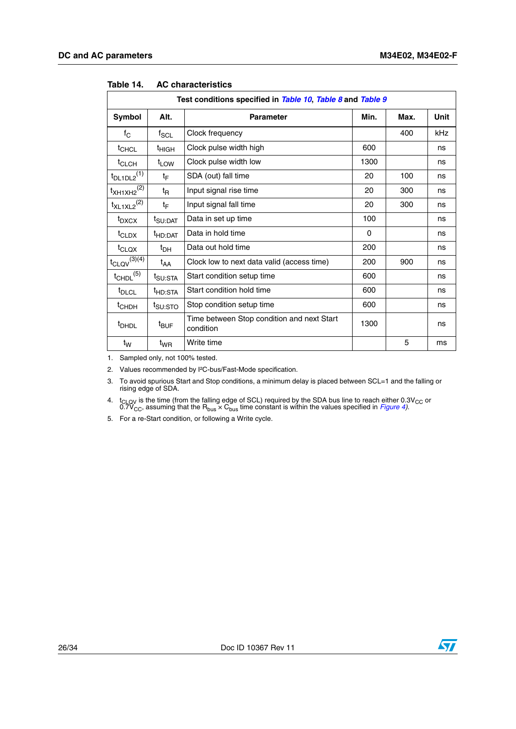| Test conditions specified in Table 10, Table 8 and Table 9 |                     |                                                         |      |      |      |  |  |
|------------------------------------------------------------|---------------------|---------------------------------------------------------|------|------|------|--|--|
| <b>Symbol</b>                                              | Alt.                | <b>Parameter</b>                                        | Min. | Max. | Unit |  |  |
| $f_{\rm C}$                                                | $f_{\rm SCL}$       | Clock frequency                                         |      | 400  | kHz  |  |  |
| t <sub>CHCL</sub>                                          | t <sub>HIGH</sub>   | Clock pulse width high                                  | 600  |      | ns   |  |  |
| $t_{CLCH}$                                                 | $t_{LOW}$           | Clock pulse width low                                   | 1300 |      | ns   |  |  |
| $t_{DL1DL2}$ <sup>(1)</sup>                                | tբ                  | SDA (out) fall time                                     | 20   | 100  | ns   |  |  |
| $t_{XH1XH2}^{(2)}$                                         | t <sub>R</sub>      | Input signal rise time                                  | 20   | 300  | ns   |  |  |
| $t_{XL1XL2}$ <sup>(2)</sup>                                | tF                  | Input signal fall time                                  | 20   | 300  | ns   |  |  |
| $t_{\text{DXCX}}$                                          | t <sub>SU:DAT</sub> | Data in set up time                                     | 100  |      | ns   |  |  |
| t <sub>CLDX</sub>                                          | <sup>t</sup> HD:DAT | Data in hold time                                       | 0    |      | ns   |  |  |
| t <sub>CLQX</sub>                                          | $t_{\text{DH}}$     | Data out hold time                                      | 200  |      | ns   |  |  |
| $t_{\text{CLQV}}^{(3)\overline{(4)}}$                      | t <sub>AA</sub>     | Clock low to next data valid (access time)              | 200  | 900  | ns   |  |  |
| $t_{\text{CHDL}}^{(5)}$                                    | t <sub>SU:STA</sub> | Start condition setup time                              | 600  |      | ns   |  |  |
| t <sub>DLCL</sub>                                          | <sup>t</sup> HD:STA | Start condition hold time                               | 600  |      | ns   |  |  |
| <sup>t</sup> CHDH                                          | t <sub>SU:STO</sub> | Stop condition setup time                               | 600  |      | ns   |  |  |
| <sup>t</sup> DHDL                                          | <sup>t</sup> BUF    | Time between Stop condition and next Start<br>condition | 1300 |      | ns   |  |  |
| t <sub>w</sub>                                             | t <sub>WR</sub>     | Write time                                              |      | 5    | ms   |  |  |

#### <span id="page-25-0"></span>**Table 14. AC characteristics**

1. Sampled only, not 100% tested.

2. Values recommended by I²C-bus/Fast-Mode specification.

3. To avoid spurious Start and Stop conditions, a minimum delay is placed between SCL=1 and the falling or rising edge of SDA.

<span id="page-25-1"></span>4.  $t_{\text{CLOV}}$  is the time (from the falling edge of SCL) required by the SDA bus line to reach either 0.3V<sub>CC</sub> or 0.7V<sub>CC</sub>, assuming that the R<sub>bus</sub> × C<sub>bus</sub> time constant is within the values specified in *Figure 4*).

5. For a re-Start condition, or following a Write cycle.

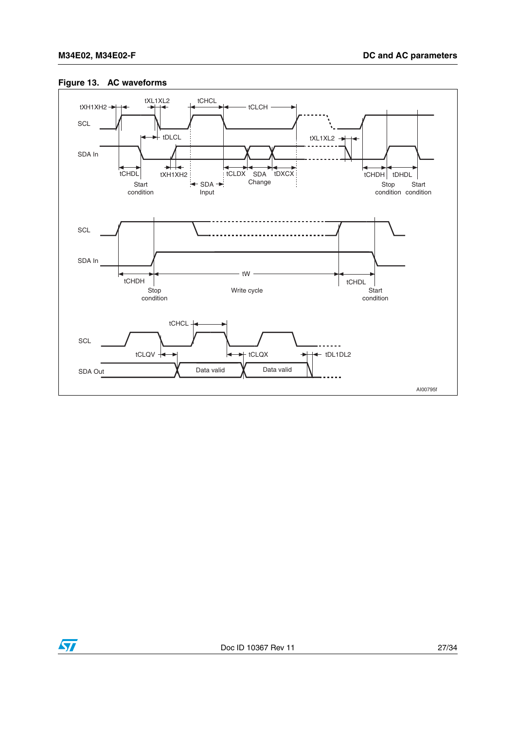

#### <span id="page-26-0"></span>**Figure 13. AC waveforms**

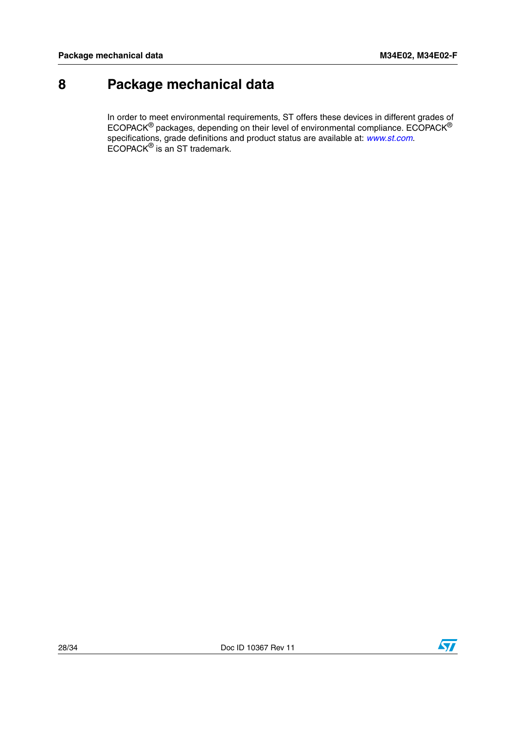# <span id="page-27-0"></span>**8 Package mechanical data**

In order to meet environmental requirements, ST offers these devices in different grades of ECOPACK® packages, depending on their level of environmental compliance. ECOPACK® specifications, grade definitions and product status are available at: *www.st.com*. ECOPACK® is an ST trademark.

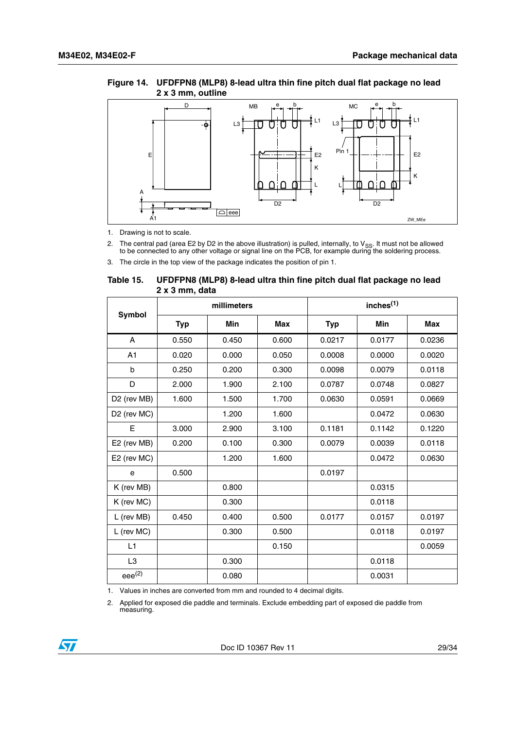#### <span id="page-28-1"></span>**Figure 14. UFDFPN8 (MLP8) 8-lead ultra thin fine pitch dual flat package no lead 2 x 3 mm, outline**



1. Drawing is not to scale.

2. The central pad (area E2 by D2 in the above illustration) is pulled, internally, to V<sub>SS</sub>. It must not be allowed to be connected to any other voltage or signal line on the PCB, for example during the soldering process

3. The circle in the top view of the package indicates the position of pin 1.

#### <span id="page-28-0"></span>Table 15. **Table 15. UFDFPN8 (MLP8) 8-lead ultra thin fine pitch dual flat package no lead 2 x 3 mm, data**

| Symbol                  | millimeters |            |            | inches <sup>(1)</sup> |        |            |
|-------------------------|-------------|------------|------------|-----------------------|--------|------------|
|                         | <b>Typ</b>  | <b>Min</b> | <b>Max</b> | <b>Typ</b>            | Min    | <b>Max</b> |
| A                       | 0.550       | 0.450      | 0.600      | 0.0217                | 0.0177 | 0.0236     |
| A <sub>1</sub>          | 0.020       | 0.000      | 0.050      | 0.0008                | 0.0000 | 0.0020     |
| b                       | 0.250       | 0.200      | 0.300      | 0.0098                | 0.0079 | 0.0118     |
| D                       | 2.000       | 1.900      | 2.100      | 0.0787                | 0.0748 | 0.0827     |
| D <sub>2</sub> (rev MB) | 1.600       | 1.500      | 1.700      | 0.0630                | 0.0591 | 0.0669     |
| D <sub>2</sub> (rev MC) |             | 1.200      | 1.600      |                       | 0.0472 | 0.0630     |
| E                       | 3.000       | 2.900      | 3.100      | 0.1181                | 0.1142 | 0.1220     |
| E2 (rev MB)             | 0.200       | 0.100      | 0.300      | 0.0079                | 0.0039 | 0.0118     |
| E2 (rev MC)             |             | 1.200      | 1.600      |                       | 0.0472 | 0.0630     |
| e                       | 0.500       |            |            | 0.0197                |        |            |
| K (rev MB)              |             | 0.800      |            |                       | 0.0315 |            |
| K (rev MC)              |             | 0.300      |            |                       | 0.0118 |            |
| L (rev MB)              | 0.450       | 0.400      | 0.500      | 0.0177                | 0.0157 | 0.0197     |
| L (rev MC)              |             | 0.300      | 0.500      |                       | 0.0118 | 0.0197     |
| L1                      |             |            | 0.150      |                       |        | 0.0059     |
| L <sub>3</sub>          |             | 0.300      |            |                       | 0.0118 |            |
| $eee^{(2)}$             |             | 0.080      |            |                       | 0.0031 |            |

1. Values in inches are converted from mm and rounded to 4 decimal digits.

2. Applied for exposed die paddle and terminals. Exclude embedding part of exposed die paddle from measuring.

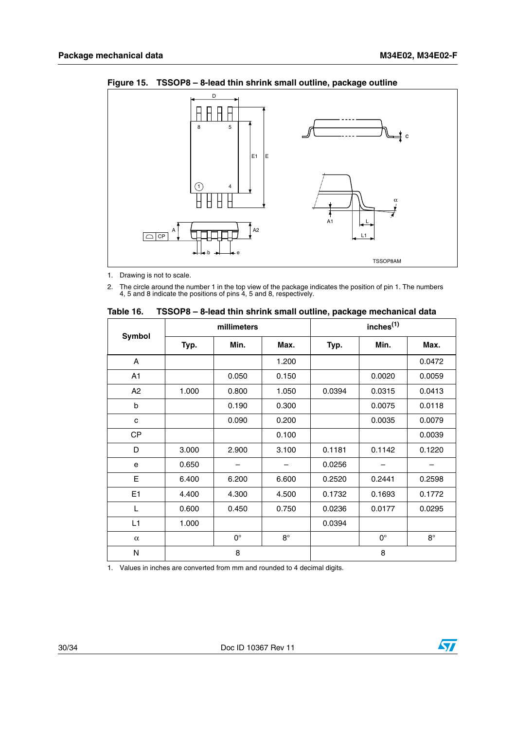

<span id="page-29-1"></span>**Figure 15. TSSOP8 – 8-lead thin shrink small outline, package outline**

1. Drawing is not to scale.

2. The circle around the number 1 in the top view of the package indicates the position of pin 1. The numbers 4, 5 and 8 indicate the positions of pins 4, 5 and 8, respectively.

| <b>Symbol</b>  | millimeters |             |           | inches <sup>(1)</sup> |             |             |
|----------------|-------------|-------------|-----------|-----------------------|-------------|-------------|
|                | Typ.        | Min.        | Max.      | Typ.                  | Min.        | Max.        |
| A              |             |             | 1.200     |                       |             | 0.0472      |
| A1             |             | 0.050       | 0.150     |                       | 0.0020      | 0.0059      |
| A2             | 1.000       | 0.800       | 1.050     | 0.0394                | 0.0315      | 0.0413      |
| b              |             | 0.190       | 0.300     |                       | 0.0075      | 0.0118      |
| c              |             | 0.090       | 0.200     |                       | 0.0035      | 0.0079      |
| <b>CP</b>      |             |             | 0.100     |                       |             | 0.0039      |
| D              | 3.000       | 2.900       | 3.100     | 0.1181                | 0.1142      | 0.1220      |
| e              | 0.650       |             |           | 0.0256                |             |             |
| E              | 6.400       | 6.200       | 6.600     | 0.2520                | 0.2441      | 0.2598      |
| E <sub>1</sub> | 4.400       | 4.300       | 4.500     | 0.1732                | 0.1693      | 0.1772      |
| L              | 0.600       | 0.450       | 0.750     | 0.0236                | 0.0177      | 0.0295      |
| L1             | 1.000       |             |           | 0.0394                |             |             |
| $\alpha$       |             | $0^{\circ}$ | $8^\circ$ |                       | $0^{\circ}$ | $8^{\circ}$ |
| N              | 8           |             | 8         |                       |             |             |

<span id="page-29-0"></span>**Table 16. TSSOP8 – 8-lead thin shrink small outline, package mechanical data**

1. Values in inches are converted from mm and rounded to 4 decimal digits.

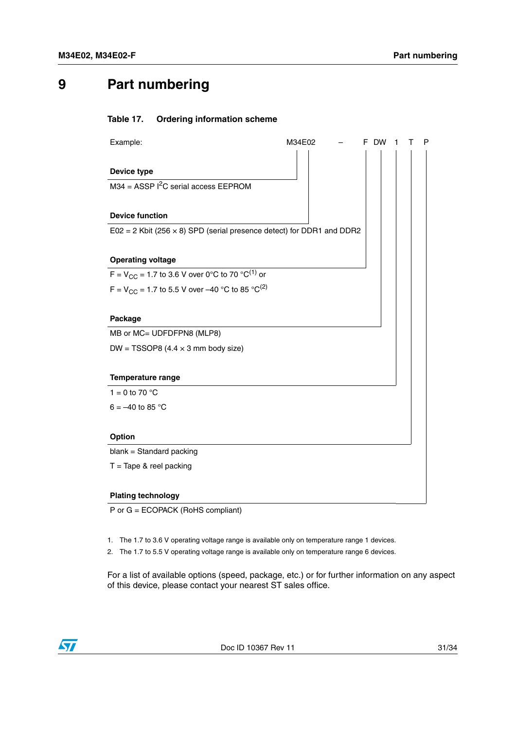# <span id="page-30-0"></span>**9 Part numbering**

#### <span id="page-30-1"></span>Table 17. **Ordering information scheme**

| Example:                                                                       | M34E02 | <b>DW</b> | Р |
|--------------------------------------------------------------------------------|--------|-----------|---|
|                                                                                |        |           |   |
| Device type                                                                    |        |           |   |
| $M34 = ASSP I2C$ serial access EEPROM                                          |        |           |   |
|                                                                                |        |           |   |
| <b>Device function</b>                                                         |        |           |   |
| $E02 = 2$ Kbit (256 $\times$ 8) SPD (serial presence detect) for DDR1 and DDR2 |        |           |   |
|                                                                                |        |           |   |
| <b>Operating voltage</b>                                                       |        |           |   |
| $F = V_{CC} = 1.7$ to 3.6 V over 0°C to 70 °C <sup>(1)</sup> or                |        |           |   |
| F = $V_{CC}$ = 1.7 to 5.5 V over -40 °C to 85 °C <sup>(2)</sup>                |        |           |   |
|                                                                                |        |           |   |
| Package                                                                        |        |           |   |
| MB or MC= UDFDFPN8 (MLP8)                                                      |        |           |   |
| DW = TSSOP8 $(4.4 \times 3 \text{ mm}$ body size)                              |        |           |   |
|                                                                                |        |           |   |
| Temperature range                                                              |        |           |   |
| 1 = 0 to 70 $^{\circ}$ C                                                       |        |           |   |
| $6 = -40$ to 85 °C                                                             |        |           |   |
|                                                                                |        |           |   |
| <b>Option</b>                                                                  |        |           |   |
| blank = Standard packing                                                       |        |           |   |
| $T =$ Tape & reel packing                                                      |        |           |   |
|                                                                                |        |           |   |
| <b>Plating technology</b>                                                      |        |           |   |

P or G = ECOPACK (RoHS compliant)

1. The 1.7 to 3.6 V operating voltage range is available only on temperature range 1 devices.

2. The 1.7 to 5.5 V operating voltage range is available only on temperature range 6 devices.

For a list of available options (speed, package, etc.) or for further information on any aspect of this device, please contact your nearest ST sales office.

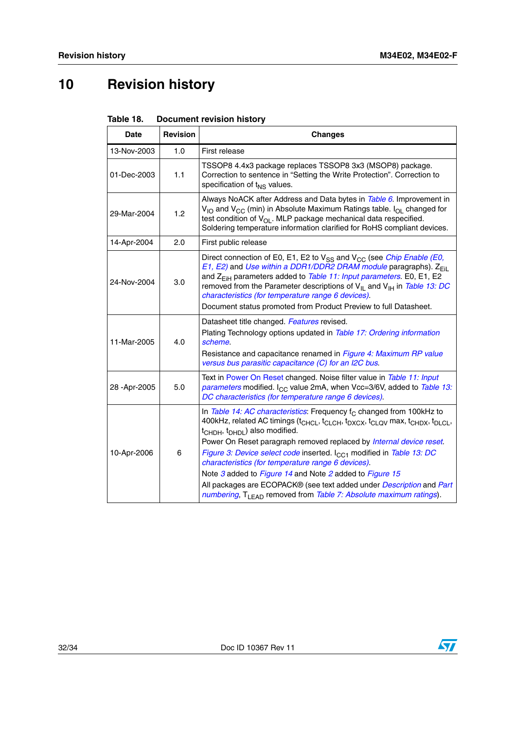# <span id="page-31-0"></span>**10 Revision history**

<span id="page-31-1"></span>

| Table 18. | <b>Document revision history</b> |  |
|-----------|----------------------------------|--|
|           |                                  |  |

| <b>Date</b> | <b>Revision</b> | <b>Changes</b>                                                                                                                                                                                                                                                                                                                                                                                                                                                                                                                                                                                                                                                                                                                   |
|-------------|-----------------|----------------------------------------------------------------------------------------------------------------------------------------------------------------------------------------------------------------------------------------------------------------------------------------------------------------------------------------------------------------------------------------------------------------------------------------------------------------------------------------------------------------------------------------------------------------------------------------------------------------------------------------------------------------------------------------------------------------------------------|
| 13-Nov-2003 | 1.0             | First release                                                                                                                                                                                                                                                                                                                                                                                                                                                                                                                                                                                                                                                                                                                    |
| 01-Dec-2003 | 1.1             | TSSOP8 4.4x3 package replaces TSSOP8 3x3 (MSOP8) package.<br>Correction to sentence in "Setting the Write Protection". Correction to<br>specification of t <sub>NS</sub> values.                                                                                                                                                                                                                                                                                                                                                                                                                                                                                                                                                 |
| 29-Mar-2004 | 1.2             | Always NoACK after Address and Data bytes in Table 6. Improvement in<br>$V_{1O}$ and $V_{CC}$ (min) in Absolute Maximum Ratings table. $I_{O}$ changed for<br>test condition of $V_{\Omega}$ . MLP package mechanical data respecified.<br>Soldering temperature information clarified for RoHS compliant devices.                                                                                                                                                                                                                                                                                                                                                                                                               |
| 14-Apr-2004 | 2.0             | First public release                                                                                                                                                                                                                                                                                                                                                                                                                                                                                                                                                                                                                                                                                                             |
| 24-Nov-2004 | 3.0             | Direct connection of E0, E1, E2 to $V_{SS}$ and $V_{CC}$ (see <i>Chip Enable (E0,</i><br>E1, E2) and Use within a DDR1/DDR2 DRAM module paragraphs). Z <sub>Fil</sub><br>and Z <sub>EiH</sub> parameters added to Table 11: Input parameters. E0, E1, E2<br>removed from the Parameter descriptions of $V_{\parallel}$ and $V_{\parallel}$ in Table 13: DC<br>characteristics (for temperature range 6 devices).<br>Document status promoted from Product Preview to full Datasheet.                                                                                                                                                                                                                                             |
| 11-Mar-2005 | 4.0             | Datasheet title changed. Features revised.<br>Plating Technology options updated in Table 17: Ordering information<br>scheme.<br>Resistance and capacitance renamed in Figure 4: Maximum RP value<br>versus bus parasitic capacitance (C) for an I2C bus.                                                                                                                                                                                                                                                                                                                                                                                                                                                                        |
| 28-Apr-2005 | 5.0             | Text in Power On Reset changed. Noise filter value in Table 11: Input<br>parameters modified. I <sub>CC</sub> value 2mA, when Vcc=3/6V, added to Table 13:<br>DC characteristics (for temperature range 6 devices).                                                                                                                                                                                                                                                                                                                                                                                                                                                                                                              |
| 10-Apr-2006 | 6               | In Table 14: AC characteristics: Frequency $f_C$ changed from 100kHz to<br>400kHz, related AC timings (t <sub>CHCL</sub> , t <sub>CLCH</sub> , t <sub>DXCX</sub> , t <sub>CLQV</sub> max, t <sub>CHDX</sub> , t <sub>DLCL</sub> ,<br>t <sub>CHDH</sub> , t <sub>DHDL</sub> ) also modified.<br>Power On Reset paragraph removed replaced by Internal device reset.<br>Figure 3: Device select code inserted. I <sub>CC1</sub> modified in Table 13: DC<br>characteristics (for temperature range 6 devices).<br>Note 3 added to Figure 14 and Note 2 added to Figure 15<br>All packages are ECOPACK® (see text added under Description and Part<br>numbering, T <sub>LEAD</sub> removed from Table 7: Absolute maximum ratings). |



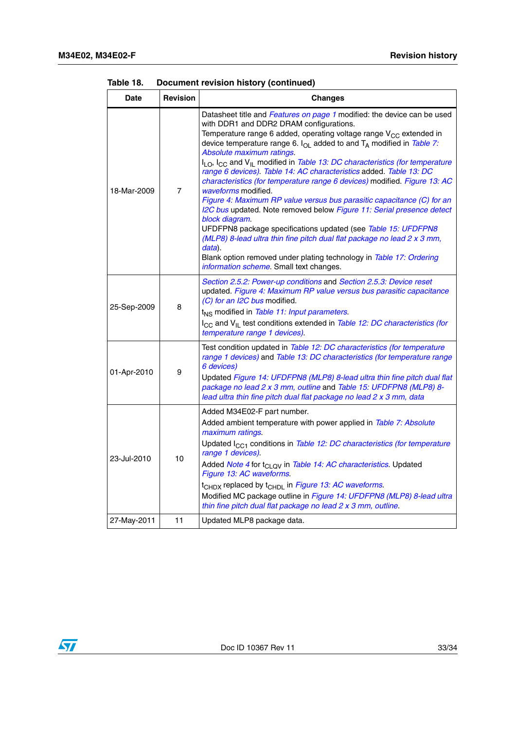| <b>Date</b> | <b>Revision</b> | <b>Changes</b>                                                                                                                                                                                                                                                                                                                                                                                                                                                                                                                                                                                                                                                                                                                                                                                                                                                                                                                                                                                                                                              |
|-------------|-----------------|-------------------------------------------------------------------------------------------------------------------------------------------------------------------------------------------------------------------------------------------------------------------------------------------------------------------------------------------------------------------------------------------------------------------------------------------------------------------------------------------------------------------------------------------------------------------------------------------------------------------------------------------------------------------------------------------------------------------------------------------------------------------------------------------------------------------------------------------------------------------------------------------------------------------------------------------------------------------------------------------------------------------------------------------------------------|
| 18-Mar-2009 | $\overline{7}$  | Datasheet title and Features on page 1 modified: the device can be used<br>with DDR1 and DDR2 DRAM configurations.<br>Temperature range 6 added, operating voltage range V <sub>CC</sub> extended in<br>device temperature range 6. $I_{OL}$ added to and $T_A$ modified in Table 7:<br>Absolute maximum ratings.<br>I <sub>LO</sub> , I <sub>CC</sub> and V <sub>IL</sub> modified in Table 13: DC characteristics (for temperature<br>range 6 devices). Table 14: AC characteristics added. Table 13: DC<br>characteristics (for temperature range 6 devices) modified. Figure 13: AC<br>waveforms modified.<br>Figure 4: Maximum RP value versus bus parasitic capacitance (C) for an<br>I2C bus updated. Note removed below Figure 11: Serial presence detect<br>block diagram.<br>UFDFPN8 package specifications updated (see Table 15: UFDFPN8<br>(MLP8) 8-lead ultra thin fine pitch dual flat package no lead 2 x 3 mm,<br>data).<br>Blank option removed under plating technology in Table 17: Ordering<br>information scheme. Small text changes. |
| 25-Sep-2009 | 8               | Section 2.5.2: Power-up conditions and Section 2.5.3: Device reset<br>updated. Figure 4: Maximum RP value versus bus parasitic capacitance<br>(C) for an I2C bus modified.<br>t <sub>NS</sub> modified in Table 11: Input parameters.<br>I <sub>CC</sub> and V <sub>IL</sub> test conditions extended in Table 12: DC characteristics (for<br>temperature range 1 devices).                                                                                                                                                                                                                                                                                                                                                                                                                                                                                                                                                                                                                                                                                 |
| 01-Apr-2010 | 9               | Test condition updated in Table 12: DC characteristics (for temperature<br>range 1 devices) and Table 13: DC characteristics (for temperature range<br>6 devices)<br>Updated Figure 14: UFDFPN8 (MLP8) 8-lead ultra thin fine pitch dual flat<br>package no lead 2 x 3 mm, outline and Table 15: UFDFPN8 (MLP8) 8-<br>lead ultra thin fine pitch dual flat package no lead 2 x 3 mm, data                                                                                                                                                                                                                                                                                                                                                                                                                                                                                                                                                                                                                                                                   |
| 23-Jul-2010 | 10              | Added M34E02-F part number.<br>Added ambient temperature with power applied in Table 7: Absolute<br>maximum ratings.<br>Updated I <sub>CC1</sub> conditions in Table 12: DC characteristics (for temperature<br>range 1 devices).<br>Added Note 4 for t <sub>CLOV</sub> in Table 14: AC characteristics. Updated<br>Figure 13: AC waveforms.<br>t <sub>CHDX</sub> replaced by t <sub>CHDL</sub> in Figure 13: AC waveforms.<br>Modified MC package outline in Figure 14: UFDFPN8 (MLP8) 8-lead ultra<br>thin fine pitch dual flat package no lead 2 x 3 mm, outline.                                                                                                                                                                                                                                                                                                                                                                                                                                                                                        |
| 27-May-2011 | 11              | Updated MLP8 package data.                                                                                                                                                                                                                                                                                                                                                                                                                                                                                                                                                                                                                                                                                                                                                                                                                                                                                                                                                                                                                                  |

| Table 18. | Document revision history (continued) |  |  |  |  |
|-----------|---------------------------------------|--|--|--|--|
|-----------|---------------------------------------|--|--|--|--|